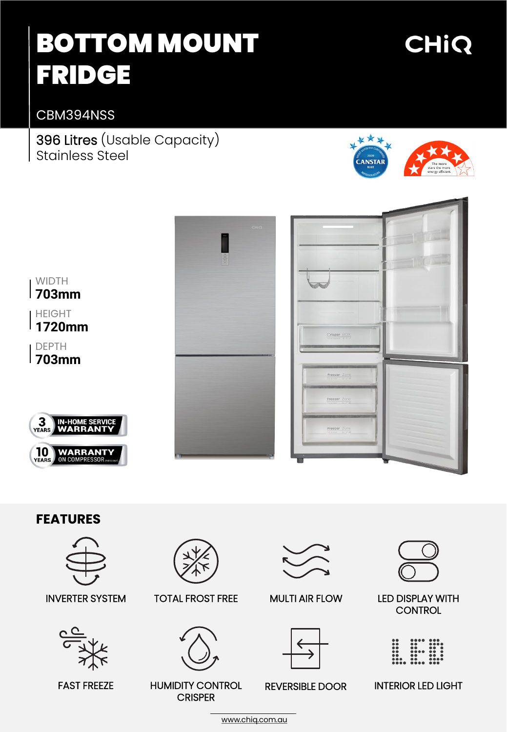# BOTTOM MOUNT FRIDGE

## CHIQ

CBM394NSS

396 Litres (Usable Capacity) Stainless Steel





### **FEATURES**







### INVERTER SYSTEM TOTAL FROST FREE

**CRISPER** 



MULTI AIR FLOW



#### REVERSIBLE DOOR



#### LED DISPLAY WITH **CONTROL**

|                         | $\begin{smallmatrix} \bullet\bullet\bullet\bullet\bullet \end{smallmatrix}$ |                                |
|-------------------------|-----------------------------------------------------------------------------|--------------------------------|
|                         | $\bullet\bullet$                                                            | $\bullet\bullet\bullet\bullet$ |
|                         |                                                                             | .                              |
| $\bullet\bullet$        |                                                                             | $\bullet\bullet\quadbullet$    |
| $\bullet$ $\bullet$     |                                                                             | $\bullet\bullet\quadbullet$    |
| $\bullet\bullet\bullet$ | $\bullet\bullet$                                                            | $\bullet\bullet\bullet\bullet$ |
|                         |                                                                             |                                |

FAST FREEZE HUMIDITY CONTROL REVERSIBLE DOOR INTERIOR LED LIGHT

[www.chiq.com.au](http://www.chiq.com.au/)